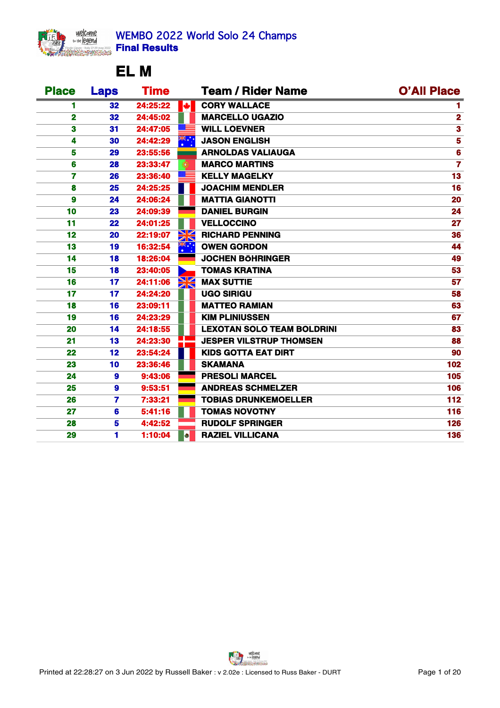Welcome<br>welegend

# **EL M**

| <b>Place</b> | <b>Laps</b> | <b>Time</b> |          | <b>Team / Rider Name</b>          | <b>O'All Place</b> |
|--------------|-------------|-------------|----------|-----------------------------------|--------------------|
|              | 32          | 24:25:22    | <b>I</b> | <b>CORY WALLACE</b>               |                    |
| $\mathbf 2$  | 32          | 24:45:02    |          | <b>MARCELLO UGAZIO</b>            |                    |
| 3            | 31          | 24:47:05    |          | <b>WILL LOEVNER</b>               |                    |
|              | 30          | 24:42:29    | *ँ       | <b>JASON ENGLISH</b>              |                    |
| 5            | 29          | 23:55:56    |          | <b>ARNOLDAS VALIAUGA</b>          |                    |
| 6            | 28          | 23:33:47    |          | <b>MARCO MARTINS</b>              |                    |
|              | <b>26</b>   | 23:36:40    |          | <b>KELLY MAGELKY</b>              | 13                 |
| 8            | 25          | 24:25:25    |          | <b>JOACHIM MENDLER</b>            | 16                 |
| 9            | 24          | 24:06:24    |          | <b>MATTIA GIANOTTI</b>            | 20                 |
| 10           | 23          | 24:09:39    |          | <b>DANIEL BURGIN</b>              | 24                 |
| 11           | 22          | 24:01:25    |          | <b>VELLOCCINO</b>                 | 27                 |
| 12           | <b>20</b>   | 22:19:07    |          | <b>RICHARD PENNING</b>            | 36                 |
| 13           | 19          | 16:32:54    |          | <b>OWEN GORDON</b>                | 44                 |
| 14           | 18          | 18:26:04    |          | <b>JOCHEN BÖHRINGER</b>           | 49                 |
| 15           | 18          | 23:40:05    |          | <b>TOMAS KRATINA</b>              | 53                 |
| 16           | 17          | 24:11:06    | $\geq$   | <b>MAX SUTTIE</b>                 | 57                 |
| 17           | 17          | 24:24:20    |          | <b>UGO SIRIGU</b>                 | 58                 |
| 18           | 16          | 23:09:11    |          | <b>MATTEO RAMIAN</b>              | 63                 |
| 19           | 16          | 24:23:29    |          | <b>KIM PLINIUSSEN</b>             | 67                 |
| 20           | 14          | 24:18:55    |          | <b>LEXOTAN SOLO TEAM BOLDRINI</b> | 83                 |
| 21           | 13          | 24:23:30    |          | <b>JESPER VILSTRUP THOMSEN</b>    | 88                 |
| 22           | 12          | 23:54:24    |          | <b>KIDS GOTTA EAT DIRT</b>        | 90                 |
| 23           | 10          | 23:36:46    |          | <b>SKAMANA</b>                    | 102                |
| 24           | 9           | 9:43:06     |          | <b>PRESOLI MARCEL</b>             | 105                |
| 25           | 9           | 9:53:51     |          | <b>ANDREAS SCHMELZER</b>          | 106                |
| 26           | 7           | 7:33:21     |          | <b>TOBIAS DRUNKEMOELLER</b>       | 112                |
| 27           | 6           | 5:41:16     |          | <b>TOMAS NOVOTNY</b>              | 116                |
| 28           | 5           | 4:42:52     |          | <b>RUDOLF SPRINGER</b>            | 126                |
| 29           |             | 1:10:04     |          | <b>RAZIEL VILLICANA</b>           | 136                |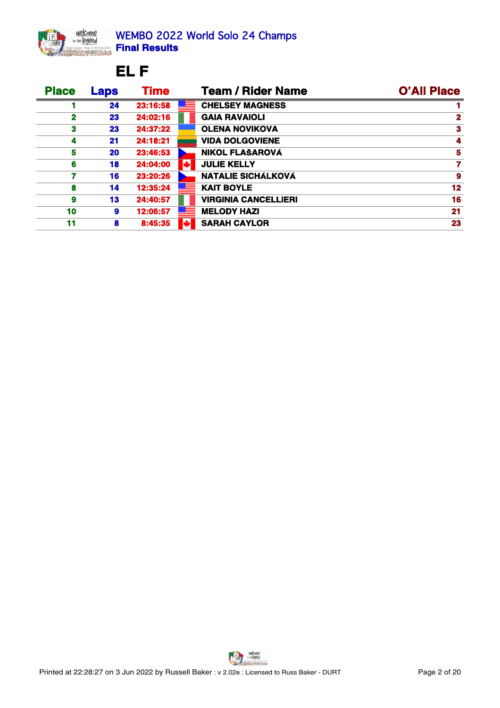

## **EL F**

| <b>Place</b> | <b>Laps</b> | <b>Time</b> | <b>Team / Rider Name</b>    | <b>O'All Place</b> |
|--------------|-------------|-------------|-----------------------------|--------------------|
|              | 24          | 23:16:58    | <b>CHELSEY MAGNESS</b>      |                    |
|              | 23          | 24:02:16    | <b>GAIA RAVAIOLI</b>        |                    |
|              | 23          | 24:37:22    | <b>OLENA NOVIKOVA</b>       |                    |
|              | 21          | 24:18:21    | <b>VIDA DOLGOVIENE</b>      |                    |
|              | <b>20</b>   | 23:46:53    | NIKOL FLAŠAROVÁ             |                    |
|              | 18          | 24:04:00    | <b>JULIE KELLY</b>          |                    |
|              | 16          | 23:20:26    | <b>NATALIE SICHÁLKOVÁ</b>   |                    |
|              | 14          | 12:35:24    | <b>KAIT BOYLE</b>           |                    |
|              | 13          | 24:40:57    | <b>VIRGINIA CANCELLIERI</b> |                    |
| 10           | 9.          | 12:06:57    | <b>MELODY HAZI</b>          |                    |
| 11           | 8           | 8:45:35     | <b>SARAH CAYLOR</b>         | 23                 |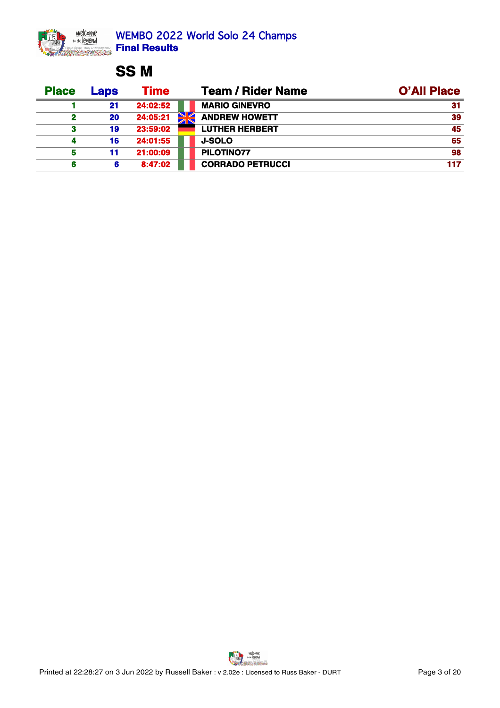

# **SS M**

| <b>Place</b> | <b>Laps</b> | Time     | <b>Team / Rider Name</b>   | <b>O'All Place</b> |
|--------------|-------------|----------|----------------------------|--------------------|
|              | 21          | 24:02:52 | <b>MARIO GINEVRO</b>       |                    |
|              | 20          | 24:05:21 | N7<br><b>ANDREW HOWETT</b> | 39                 |
|              | 19          | 23:59:02 | <b>LUTHER HERBERT</b>      | 45                 |
|              | 16          | 24:01:55 | <b>J-SOLO</b>              | 65                 |
|              |             | 21:00:09 | PILOTINO77                 | 98                 |
|              |             | 8:47:02  | <b>CORRADO PETRUCCI</b>    | 117                |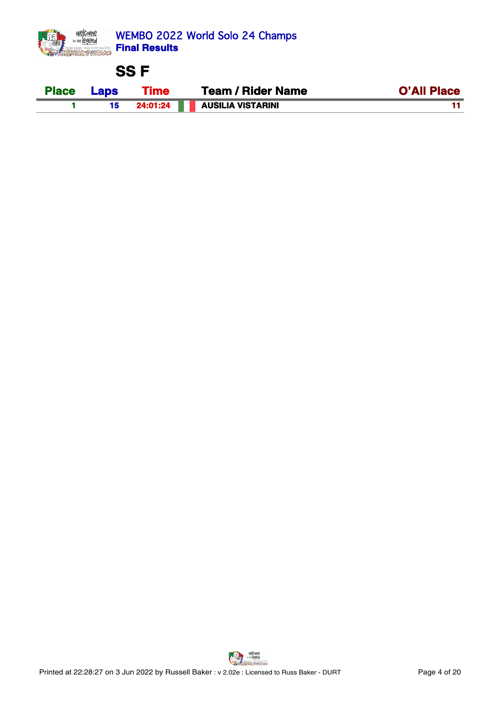

## **SS F**

| <b>Place</b> | <b>Time</b><br>_ans | / Rider Name<br>Team     | <b>O'All Place</b> |
|--------------|---------------------|--------------------------|--------------------|
|              | ∠4:01:24            | <b>AUSILIA VISTARINI</b> |                    |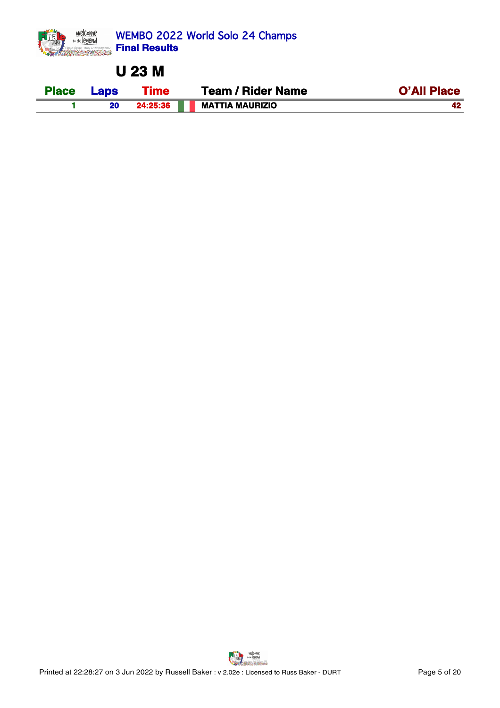

**U 23 M**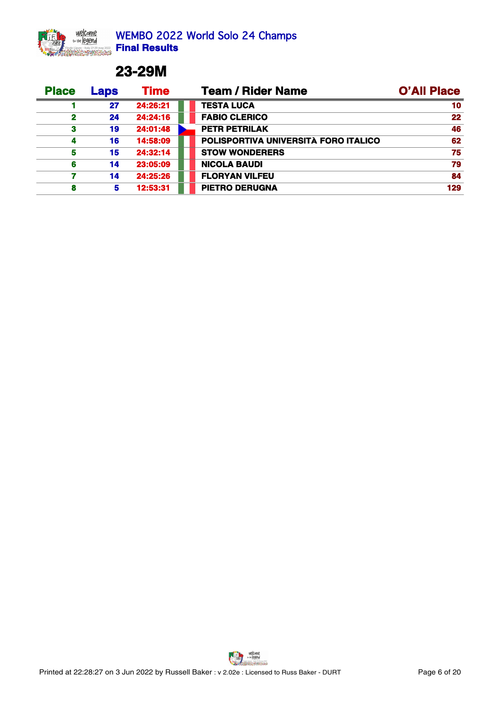

### **23-29M**

| <b>Place</b> | Laps | Time     | <b>Team / Rider Name</b>             | <b>O'All Place</b> |
|--------------|------|----------|--------------------------------------|--------------------|
|              | 27   | 24:26:21 | <b>TESTA LUCA</b>                    | 10                 |
|              | 24   | 24:24:16 | <b>FABIO CLERICO</b>                 | 22                 |
|              | 19   | 24:01:48 | <b>PETR PETRILAK</b>                 | 46                 |
|              | 16   | 14:58:09 | POLISPORTIVA UNIVERSITÀ FORO ITALICO | 62                 |
|              | 15   | 24:32:14 | <b>STOW WONDERERS</b>                |                    |
|              | 14   | 23:05:09 | <b>NICOLA BAUDI</b>                  |                    |
|              | 14   | 24:25:26 | <b>FLORYAN VILFEU</b>                | 84                 |
|              |      | 12:53:31 | <b>PIETRO DERUGNA</b>                | 129                |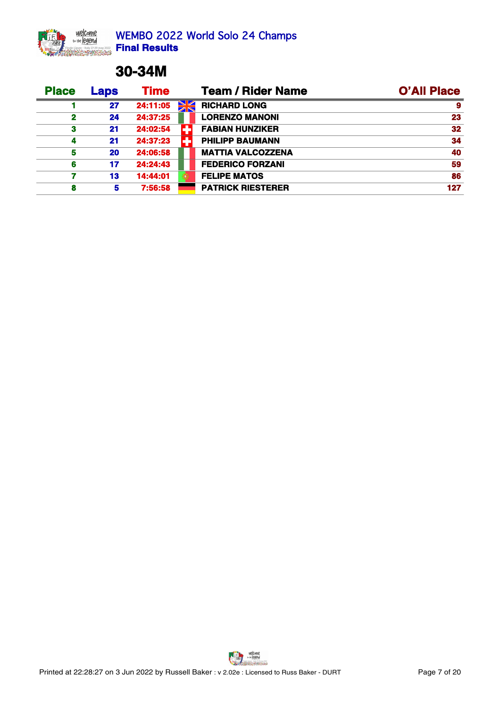## **30-34M**

| <b>Place</b> | Laps      | Time     | <b>Team / Rider Name</b> | <b>O'All Place</b> |
|--------------|-----------|----------|--------------------------|--------------------|
|              | 27        | 24:11:05 | <b>RICHARD LONG</b>      |                    |
|              | 24        | 24:37:25 | <b>LORENZO MANONI</b>    | 23                 |
|              | 21        | 24:02:54 | <b>FABIAN HUNZIKER</b>   | 32                 |
|              | 21        | 24:37:23 | <b>PHILIPP BAUMANN</b>   | 34                 |
|              | <b>20</b> | 24:06:58 | <b>MATTIA VALCOZZENA</b> | 40                 |
|              | 17        | 24:24:43 | <b>FEDERICO FORZANI</b>  | 59                 |
|              | 13        | 14:44:01 | <b>FELIPE MATOS</b>      | 86                 |
|              |           | 7:56:58  | <b>PATRICK RIESTERER</b> | 127                |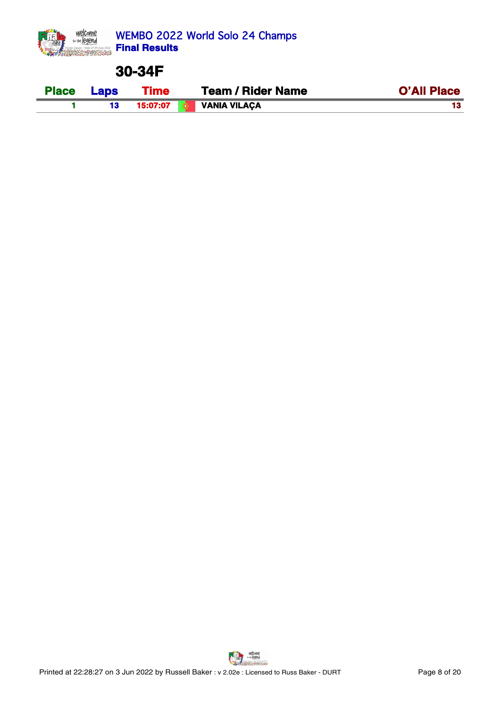

#### **30-34F**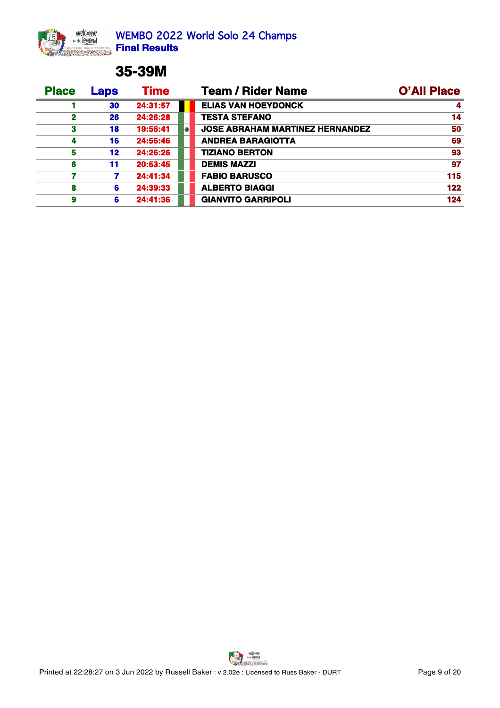## **35-39M**

| <b>Place</b> | Laps | <b>Time</b> | <b>Team / Rider Name</b>               | <b>O'All Place</b> |
|--------------|------|-------------|----------------------------------------|--------------------|
|              | 30   | 24:31:57    | <b>ELIAS VAN HOEYDONCK</b>             |                    |
|              | 26   | 24:26:28    | <b>TESTA STEFANO</b>                   |                    |
|              | 18   | 19:56:41    | <b>JOSE ABRAHAM MARTINEZ HERNANDEZ</b> | 50                 |
|              | 16   | 24:56:46    | <b>ANDREA BARAGIOTTA</b>               | 69                 |
|              | 12   | 24:26:26    | <b>TIZIANO BERTON</b>                  | 93                 |
|              | 11   | 20:53:45    | <b>DEMIS MAZZI</b>                     | 97                 |
|              |      | 24:41:34    | <b>FABIO BARUSCO</b>                   | 115                |
|              | 6.   | 24:39:33    | <b>ALBERTO BIAGGI</b>                  | 122                |
|              | 6.   | 24:41:36    | <b>GIANVITO GARRIPOLI</b>              | 124                |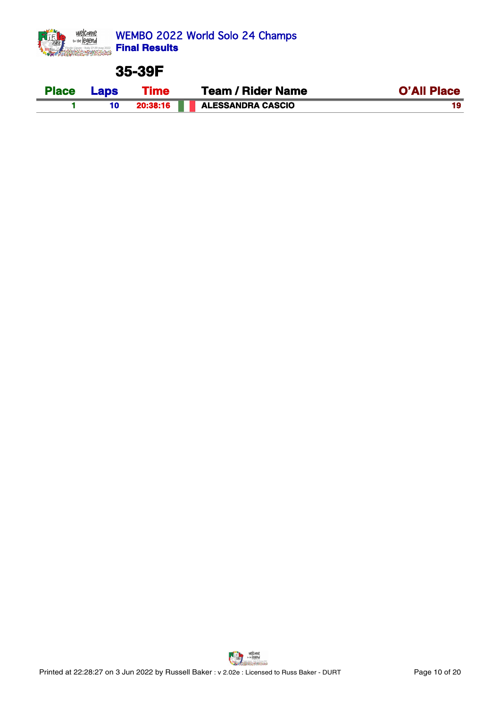

#### **35-39F**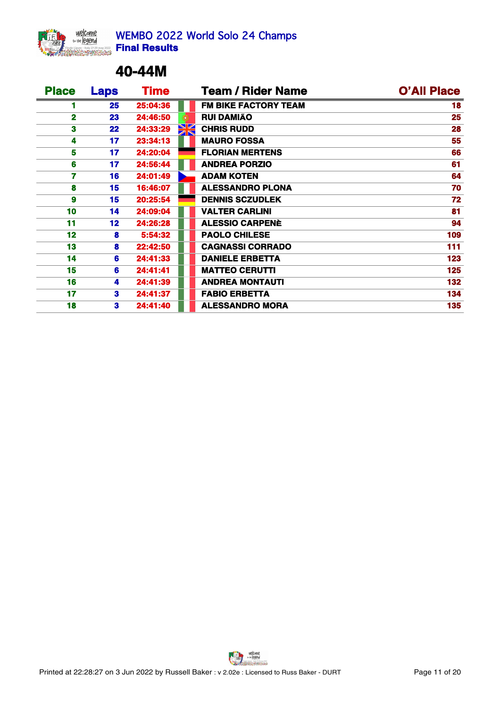

### **40-44M**

| <b>Place</b>    | <b>Laps</b>     | <b>Time</b> |    | <b>Team / Rider Name</b>    | <b>O'All Place</b> |
|-----------------|-----------------|-------------|----|-----------------------------|--------------------|
|                 | 25              | 25:04:36    |    | <b>FM BIKE FACTORY TEAM</b> | 18                 |
| $\mathbf{2}$    | 23              | 24:46:50    |    | <b>RUI DAMIÃO</b>           | 25                 |
| 3               | 22              | 24:33:29    | XK | <b>CHRIS RUDD</b>           | 28                 |
|                 | 17              | 23:34:13    |    | <b>MAURO FOSSA</b>          | 55                 |
| 5.              | 17              | 24:20:04    |    | <b>FLORIAN MERTENS</b>      | 66                 |
| 6               | 17              | 24:56:44    |    | <b>ANDREA PORZIO</b>        | 61                 |
|                 | 16              | 24:01:49    |    | <b>ADAM KOTEN</b>           | 64                 |
| 8               | 15              | 16:46:07    |    | <b>ALESSANDRO PLONA</b>     | 70                 |
| 9               | 15              | 20:25:54    |    | <b>DENNIS SCZUDLEK</b>      | 72                 |
| 10 <sub>1</sub> | 14              | 24:09:04    |    | <b>VALTER CARLINI</b>       | 81                 |
| 11              | 12 <sub>2</sub> | 24:26:28    |    | <b>ALESSIO CARPENÈ</b>      | 94                 |
| 12              | 8               | 5:54:32     |    | <b>PAOLO CHILESE</b>        | 109                |
| 13              | 8               | 22:42:50    |    | <b>CAGNASSI CORRADO</b>     | 111                |
| 14              | 6               | 24:41:33    |    | <b>DANIELE ERBETTA</b>      | 123                |
| 15              | 6               | 24:41:41    |    | <b>MATTEO CERUTTI</b>       | 125                |
| 16              | 4               | 24:41:39    |    | <b>ANDREA MONTAUTI</b>      | 132                |
| 17              | 3               | 24:41:37    |    | <b>FABIO ERBETTA</b>        | 134                |
| 18              | 3               | 24:41:40    |    | <b>ALESSANDRO MORA</b>      | 135                |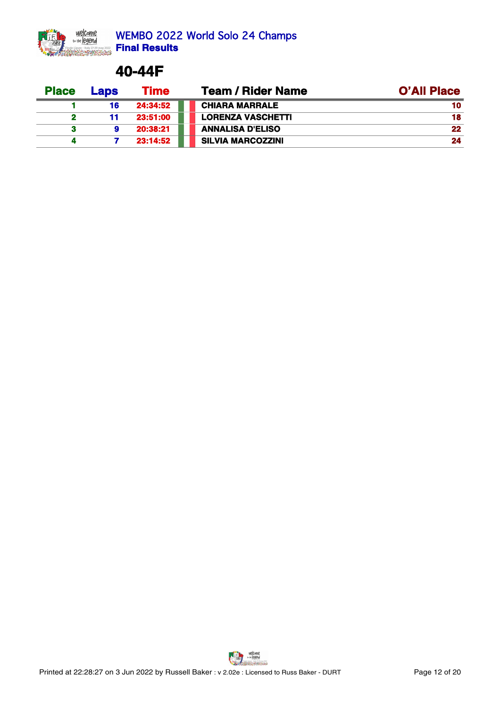

WEMBO 2022 World Solo 24 Champs **Final Results**

#### **40-44F**

| <b>Place</b> | <b>Laps</b> | Time     | <b>Team / Rider Name</b> | <b>O'All Place</b> |
|--------------|-------------|----------|--------------------------|--------------------|
|              | 16          | 24:34:52 | <b>CHIARA MARRALE</b>    |                    |
|              |             | 23:51:00 | <b>LORENZA VASCHETTI</b> |                    |
|              |             | 20:38:21 | <b>ANNALISA D'ELISO</b>  |                    |
|              |             | 23:14:52 | SILVIA MARCOZZINI        |                    |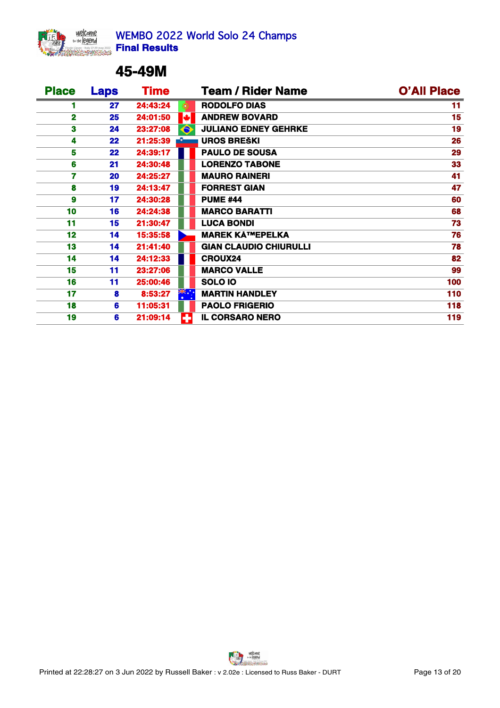

## **45-49M**

| <b>Place</b>    | <b>Laps</b> | <b>Time</b> |           | <b>Team / Rider Name</b>      | <b>O'All Place</b> |
|-----------------|-------------|-------------|-----------|-------------------------------|--------------------|
|                 | 27          | 24:43:24    |           | <b>RODOLFO DIAS</b>           |                    |
| $\mathbf{2}$    | 25          | 24:01:50    |           | <b>ANDREW BOVARD</b>          | 15                 |
| 3               | 24          | 23:27:08    | $\bullet$ | <b>JULIANO EDNEY GEHRKE</b>   | 19                 |
|                 | 22          | 21:25:39    |           | <b>UROS BREŠKI</b>            | 26                 |
| 5               | 22          | 24:39:17    |           | <b>PAULO DE SOUSA</b>         | 29                 |
| 6               | 21          | 24:30:48    |           | <b>LORENZO TABONE</b>         | 33                 |
|                 | <b>20</b>   | 24:25:27    |           | <b>MAURO RAINERI</b>          | 41                 |
| 8               | 19          | 24:13:47    |           | <b>FORREST GIAN</b>           | 47                 |
| 9               | 17          | 24:30:28    |           | <b>PUME #44</b>               | 60                 |
| 10 <sub>1</sub> | 16          | 24:24:38    |           | <b>MARCO BARATTI</b>          | 68                 |
| 11              | 15          | 21:30:47    |           | <b>LUCA BONDI</b>             | 73                 |
| 12              | 14          | 15:35:58    |           | <b>MAREK KřEPELKA</b>         | 76                 |
| 13 <sub>1</sub> | 14          | 21:41:40    |           | <b>GIAN CLAUDIO CHIURULLI</b> | 78                 |
| 14              | 14          | 24:12:33    |           | <b>CROUX24</b>                | 82                 |
| 15              | 11          | 23:27:06    |           | <b>MARCO VALLE</b>            | 99                 |
| 16              | 11          | 25:00:46    |           | SOLO 10                       | 100                |
| 17              | 8           | 8:53:27     | ※……       | <b>MARTIN HANDLEY</b>         | 110                |
| 18              | 6           | 11:05:31    |           | <b>PAOLO FRIGERIO</b>         | 118                |
| 19              | 6           | 21:09:14    |           | <b>IL CORSARO NERO</b>        | 119                |

welcome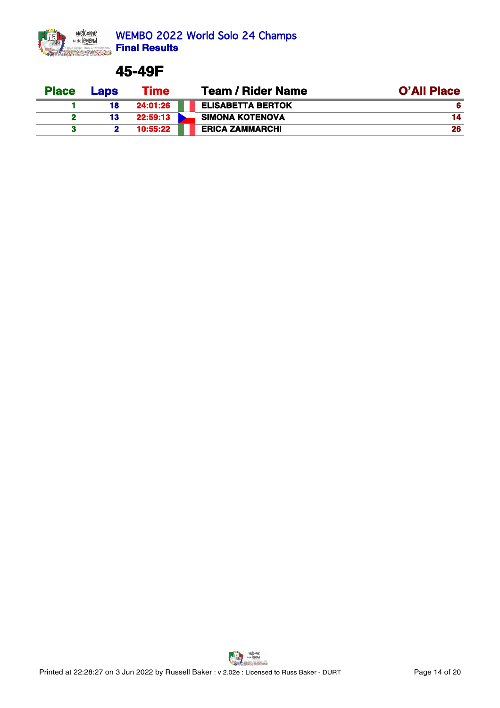

#### **45-49F**

| <b>Place</b> | <b>Laps</b> | Time     | <b>Team / Rider Name</b> | <b>O'All Place</b> |
|--------------|-------------|----------|--------------------------|--------------------|
|              | 18          | 24:01:26 | <b>ELISABETTA BERTOK</b> |                    |
|              | 13          | 22:59:13 | SIMONA KOTENOVÁ          |                    |
|              |             | 10:55:22 | <b>ERICA ZAMMARCHI</b>   |                    |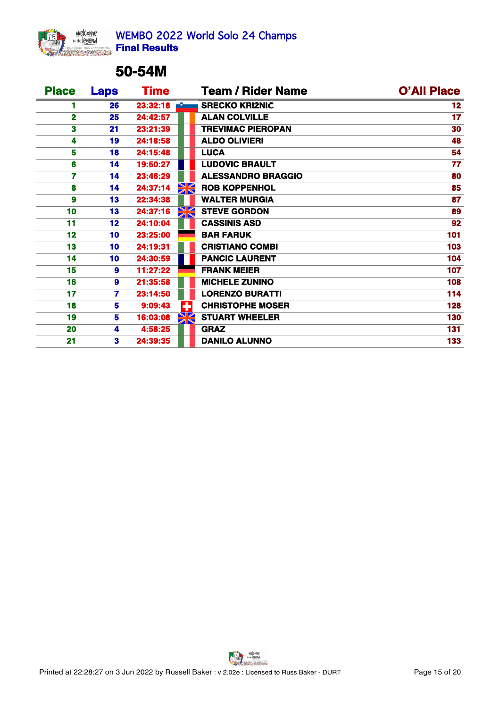

## **50-54M**

| <b>Place</b>    | <b>Laps</b>     | <b>Time</b> |    | <b>Team / Rider Name</b>  | <b>O'All Place</b> |
|-----------------|-----------------|-------------|----|---------------------------|--------------------|
|                 | 26              | 23:32:18    |    | <b>SRECKO KRIŽNIČ</b>     | 12                 |
| $\mathbf{2}$    | 25              | 24:42:57    |    | <b>ALAN COLVILLE</b>      | 17                 |
| 3               | 21              | 23:21:39    |    | <b>TREVIMAC PIEROPAN</b>  | 30                 |
|                 | 19              | 24:18:58    |    | <b>ALDO OLIVIERI</b>      | 48                 |
| 5               | 18              | 24:15:48    |    | <b>LUCA</b>               | 54                 |
| 6               | 14              | 19:50:27    |    | <b>LUDOVIC BRAULT</b>     | 77                 |
|                 | 14              | 23:46:29    |    | <b>ALESSANDRO BRAGGIO</b> | 80                 |
| 8               | 14              | 24:37:14    |    | <b>ROB KOPPENHOL</b>      | 85                 |
| 9               | 13              | 22:34:38    |    | <b>WALTER MURGIA</b>      | 87                 |
| 10 <sub>1</sub> | 13              | 24:37:16    |    | <b>STEVE GORDON</b>       | 89                 |
| 11              | 12              | 24:10:04    |    | <b>CASSINIS ASD</b>       | 92                 |
| 12              | 10              | 23:25:00    |    | <b>BAR FARUK</b>          | 101                |
| 13              | 10 <sub>1</sub> | 24:19:31    |    | <b>CRISTIANO COMBI</b>    | 103                |
| 14              | 10 <sub>1</sub> | 24:30:59    |    | <b>PANCIC LAURENT</b>     | 104                |
| 15              | 9               | 11:27:22    |    | <b>FRANK MEIER</b>        | 107                |
| 16              | 9               | 21:35:58    |    | <b>MICHELE ZUNINO</b>     | 108                |
| 17              | 7               | 23:14:50    |    | <b>LORENZO BURATTI</b>    | 114                |
| 18              | 5               | 9:09:43     | H  | <b>CHRISTOPHE MOSER</b>   | 128                |
| 19              | 5.              | 16:03:08    | XK | <b>STUART WHEELER</b>     | 130                |
| 20              | 4               | 4:58:25     |    | <b>GRAZ</b>               | 131                |
| 21              | 3               | 24:39:35    |    | <b>DANILO ALUNNO</b>      | 133                |

welcome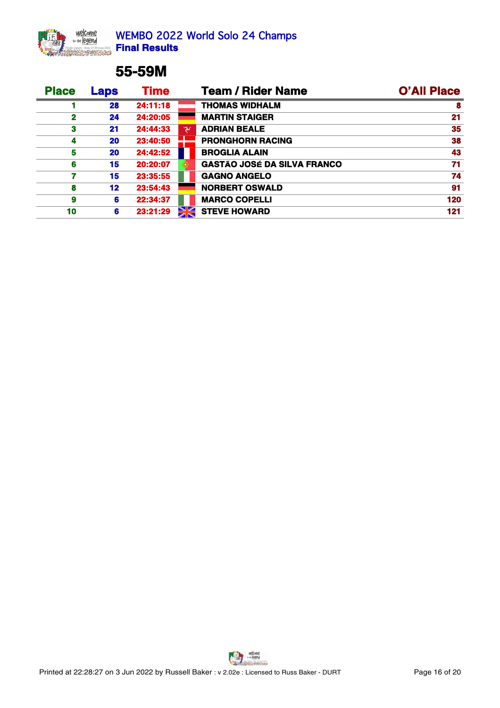

## **55-59M**

| <b>Place</b> | Laps      | <b>Time</b> |    | <b>Team / Rider Name</b>           | <b>O'All Place</b> |
|--------------|-----------|-------------|----|------------------------------------|--------------------|
|              | 28        | 24:11:18    |    | <b>THOMAS WIDHALM</b>              |                    |
|              | 24        | 24:20:05    |    | <b>MARTIN STAIGER</b>              |                    |
|              | 21        | 24:44:33    |    | <b>ADRIAN BEALE</b>                | 35                 |
|              | <b>20</b> | 23:40:50    |    | PRONGHORN RACING                   | 38                 |
|              | <b>20</b> | 24:42:52    |    | <b>BROGLIA ALAIN</b>               | 43                 |
|              | 15        | 20:20:07    |    | <b>GASTÃO JOSÉ DA SILVA FRANCO</b> |                    |
|              | 15        | 23:35:55    |    | <b>GAGNO ANGELO</b>                | 74                 |
|              | 12        | 23:54:43    |    | NORBERT OSWALD                     | 91                 |
|              | 6.        | 22:34:37    |    | <b>MARCO COPELLI</b>               | 120                |
| 10           | 6.        | 23:21:29    | XK | <b>STEVE HOWARD</b>                | 121                |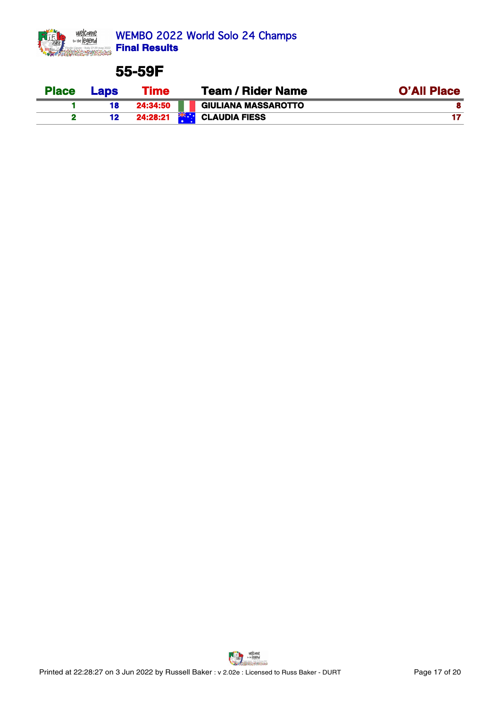

#### **55-59F**

| <b>Place</b> | <b>Lans</b> | Гіmе     | <b>Team / Rider Name</b>            | <b>O'All Place</b> |
|--------------|-------------|----------|-------------------------------------|--------------------|
|              | 18          | 24.34.50 | <b>GIULIANA MASSAROTTO</b>          |                    |
|              |             | 24:28:21 | <b>XK .</b><br><b>CLAUDIA FIESS</b> |                    |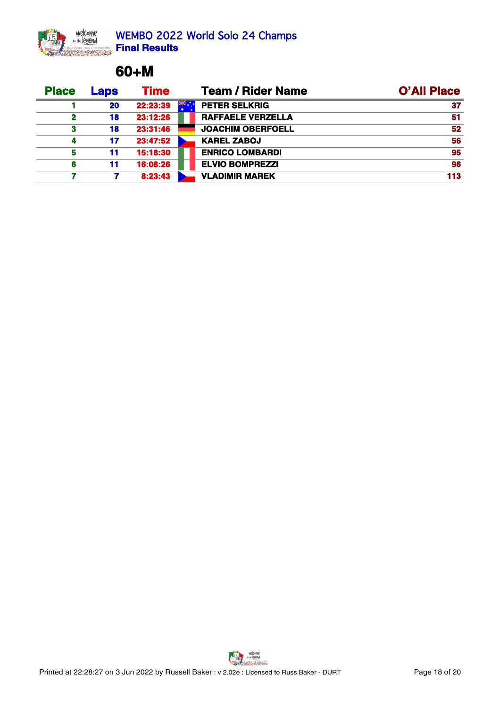## **60+M**

| <b>Place</b> | Laps | <b>Time</b> | <b>Team / Rider Name</b> | <b>O'All Place</b> |
|--------------|------|-------------|--------------------------|--------------------|
|              | 20   | 22:23:39    | <b>PETER SELKRIG</b>     |                    |
|              | 18   | 23:12:26    | RAFFAELE VERZELLA        | 51                 |
|              | 18   | 23:31:46    | <b>JOACHIM OBERFOELL</b> | 52                 |
|              | 17   | 23:47:52    | <b>KAREL ZABOJ</b>       | 56                 |
|              |      | 15:18:30    | <b>ENRICO LOMBARDI</b>   | 95                 |
|              |      | 16:08:26    | <b>ELVIO BOMPREZZI</b>   | 96                 |
|              |      | 8:23:43     | <b>VLADIMIR MAREK</b>    | 113                |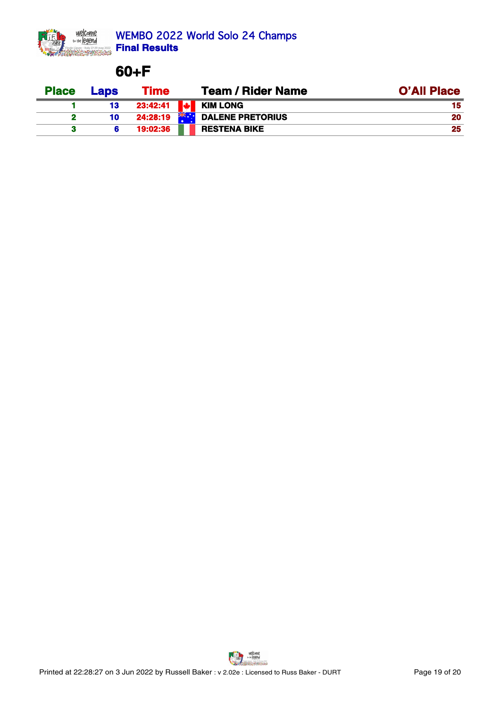

## **60+F**

| <b>Place</b> | <b>_aps</b> | Гіmе     | <b>Team / Rider Name</b>                 | <b>O'All Place</b> |
|--------------|-------------|----------|------------------------------------------|--------------------|
|              |             | 23:42:41 | <b>KIM LONG</b>                          |                    |
|              |             | 24:28:19 | $\geq$ $\geq$<br><b>DALENE PRETORIUS</b> |                    |
|              |             | 19:02:36 | <b>RESTENA BIKE</b>                      |                    |